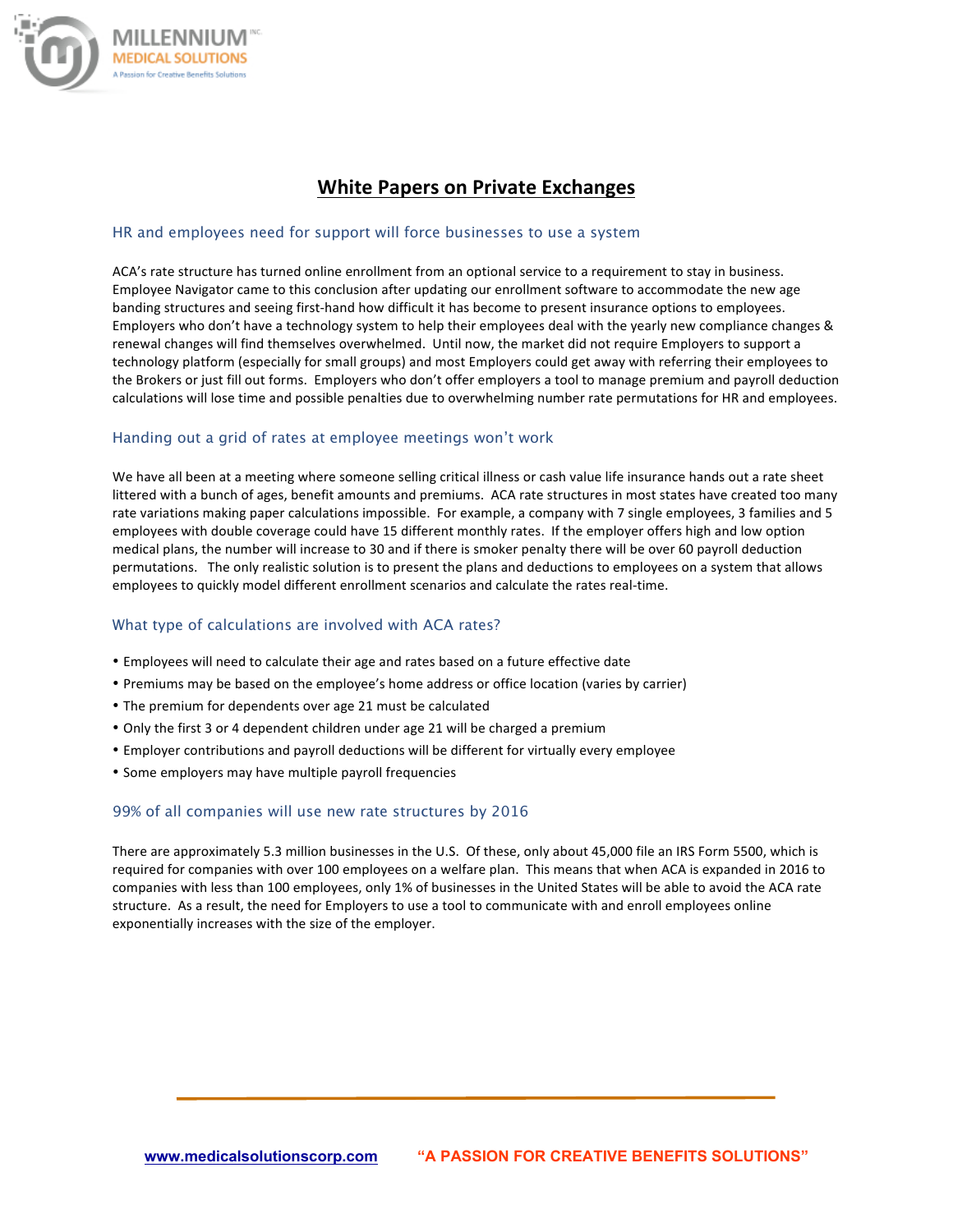

# **White Papers on Private Exchanges**

#### HR and employees need for support will force businesses to use a system

ACA's rate structure has turned online enrollment from an optional service to a requirement to stay in business. Employee Navigator came to this conclusion after updating our enrollment software to accommodate the new age banding structures and seeing first-hand how difficult it has become to present insurance options to employees. Employers who don't have a technology system to help their employees deal with the yearly new compliance changes & renewal changes will find themselves overwhelmed. Until now, the market did not require Employers to support a technology platform (especially for small groups) and most Employers could get away with referring their employees to the Brokers or just fill out forms. Employers who don't offer employers a tool to manage premium and payroll deduction calculations will lose time and possible penalties due to overwhelming number rate permutations for HR and employees.

#### Handing out a grid of rates at employee meetings won't work

We have all been at a meeting where someone selling critical illness or cash value life insurance hands out a rate sheet littered with a bunch of ages, benefit amounts and premiums. ACA rate structures in most states have created too many rate variations making paper calculations impossible. For example, a company with 7 single employees, 3 families and 5 employees with double coverage could have 15 different monthly rates. If the employer offers high and low option medical plans, the number will increase to 30 and if there is smoker penalty there will be over 60 payroll deduction permutations. The only realistic solution is to present the plans and deductions to employees on a system that allows employees to quickly model different enrollment scenarios and calculate the rates real-time.

### What type of calculations are involved with ACA rates?

- Employees will need to calculate their age and rates based on a future effective date
- Premiums may be based on the employee's home address or office location (varies by carrier)
- The premium for dependents over age 21 must be calculated
- Only the first 3 or 4 dependent children under age 21 will be charged a premium
- Employer contributions and payroll deductions will be different for virtually every employee
- Some employers may have multiple payroll frequencies

#### 99% of all companies will use new rate structures by 2016

There are approximately 5.3 million businesses in the U.S. Of these, only about 45,000 file an IRS Form 5500, which is required for companies with over 100 employees on a welfare plan. This means that when ACA is expanded in 2016 to companies with less than 100 employees, only 1% of businesses in the United States will be able to avoid the ACA rate structure. As a result, the need for Employers to use a tool to communicate with and enroll employees online exponentially increases with the size of the employer.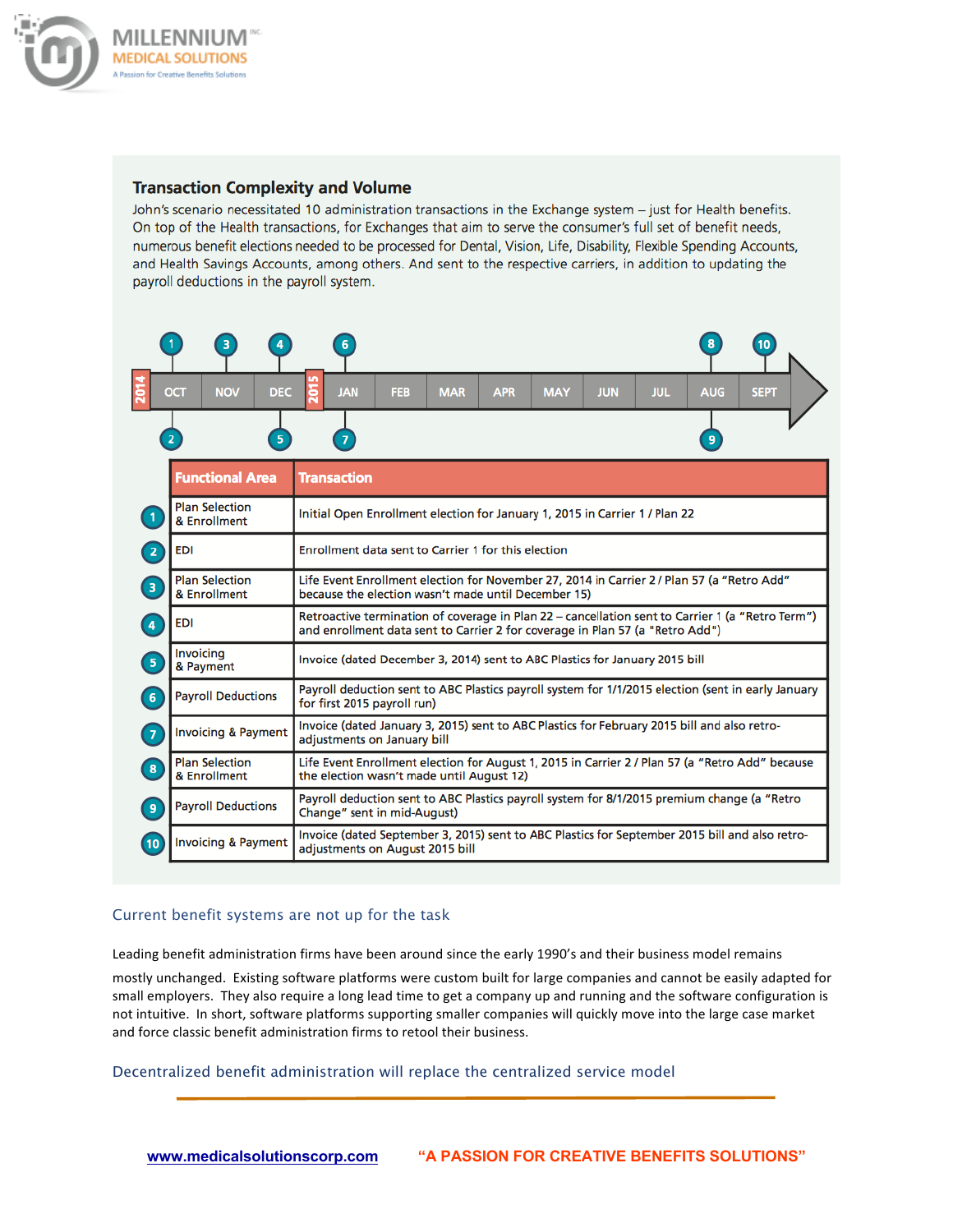

## **Transaction Complexity and Volume**

John's scenario necessitated 10 administration transactions in the Exchange system – just for Health benefits. On top of the Health transactions, for Exchanges that aim to serve the consumer's full set of benefit needs, numerous benefit elections needed to be processed for Dental, Vision, Life, Disability, Flexible Spending Accounts, and Health Savings Accounts, among others. And sent to the respective carriers, in addition to updating the payroll deductions in the payroll system.



## Current benefit systems are not up for the task

Leading benefit administration firms have been around since the early 1990's and their business model remains

mostly unchanged. Existing software platforms were custom built for large companies and cannot be easily adapted for small employers. They also require a long lead time to get a company up and running and the software configuration is not intuitive. In short, software platforms supporting smaller companies will quickly move into the large case market and force classic benefit administration firms to retool their business.

Decentralized benefit administration will replace the centralized service model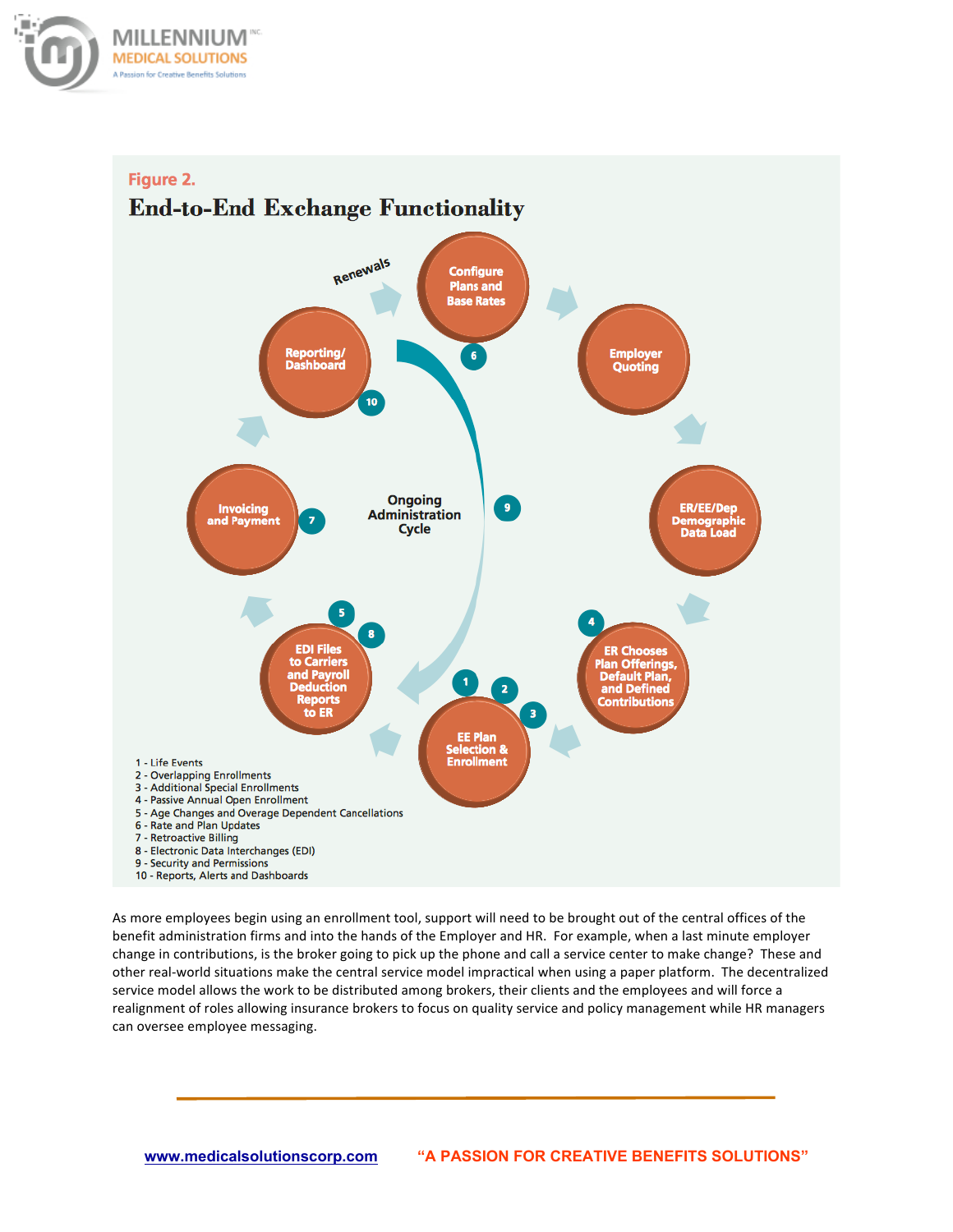



As more employees begin using an enrollment tool, support will need to be brought out of the central offices of the benefit administration firms and into the hands of the Employer and HR. For example, when a last minute employer change in contributions, is the broker going to pick up the phone and call a service center to make change? These and other real-world situations make the central service model impractical when using a paper platform. The decentralized service model allows the work to be distributed among brokers, their clients and the employees and will force a realignment of roles allowing insurance brokers to focus on quality service and policy management while HR managers can oversee employee messaging.